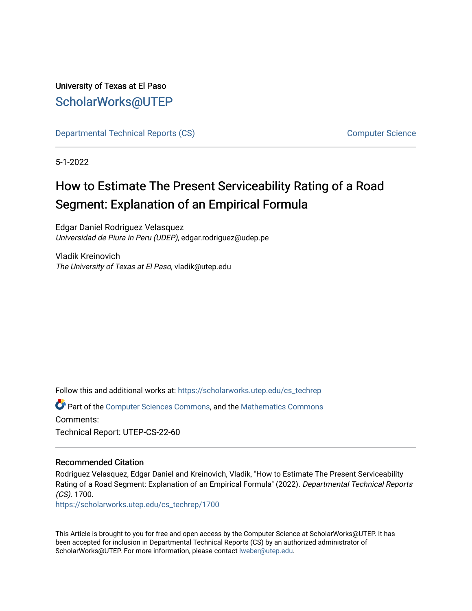# University of Texas at El Paso [ScholarWorks@UTEP](https://scholarworks.utep.edu/)

[Departmental Technical Reports \(CS\)](https://scholarworks.utep.edu/cs_techrep) [Computer Science](https://scholarworks.utep.edu/computer) 

5-1-2022

# How to Estimate The Present Serviceability Rating of a Road Segment: Explanation of an Empirical Formula

Edgar Daniel Rodriguez Velasquez Universidad de Piura in Peru (UDEP), edgar.rodriguez@udep.pe

Vladik Kreinovich The University of Texas at El Paso, vladik@utep.edu

Follow this and additional works at: [https://scholarworks.utep.edu/cs\\_techrep](https://scholarworks.utep.edu/cs_techrep?utm_source=scholarworks.utep.edu%2Fcs_techrep%2F1700&utm_medium=PDF&utm_campaign=PDFCoverPages) 

Part of the [Computer Sciences Commons](https://network.bepress.com/hgg/discipline/142?utm_source=scholarworks.utep.edu%2Fcs_techrep%2F1700&utm_medium=PDF&utm_campaign=PDFCoverPages), and the [Mathematics Commons](https://network.bepress.com/hgg/discipline/174?utm_source=scholarworks.utep.edu%2Fcs_techrep%2F1700&utm_medium=PDF&utm_campaign=PDFCoverPages)  Comments: Technical Report: UTEP-CS-22-60

## Recommended Citation

Rodriguez Velasquez, Edgar Daniel and Kreinovich, Vladik, "How to Estimate The Present Serviceability Rating of a Road Segment: Explanation of an Empirical Formula" (2022). Departmental Technical Reports (CS). 1700.

[https://scholarworks.utep.edu/cs\\_techrep/1700](https://scholarworks.utep.edu/cs_techrep/1700?utm_source=scholarworks.utep.edu%2Fcs_techrep%2F1700&utm_medium=PDF&utm_campaign=PDFCoverPages) 

This Article is brought to you for free and open access by the Computer Science at ScholarWorks@UTEP. It has been accepted for inclusion in Departmental Technical Reports (CS) by an authorized administrator of ScholarWorks@UTEP. For more information, please contact [lweber@utep.edu](mailto:lweber@utep.edu).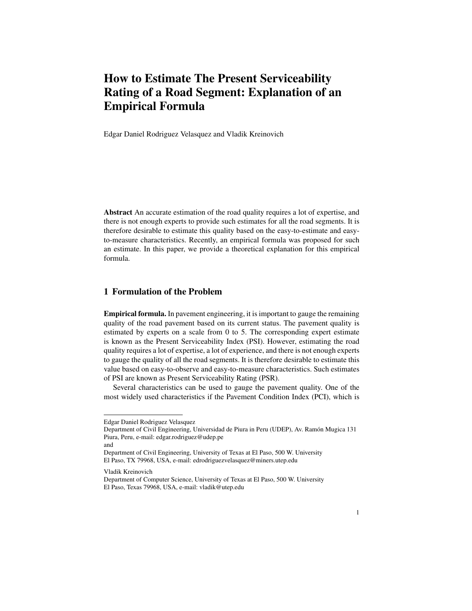# How to Estimate The Present Serviceability Rating of a Road Segment: Explanation of an Empirical Formula

Edgar Daniel Rodriguez Velasquez and Vladik Kreinovich

Abstract An accurate estimation of the road quality requires a lot of expertise, and there is not enough experts to provide such estimates for all the road segments. It is therefore desirable to estimate this quality based on the easy-to-estimate and easyto-measure characteristics. Recently, an empirical formula was proposed for such an estimate. In this paper, we provide a theoretical explanation for this empirical formula.

#### 1 Formulation of the Problem

Empirical formula. In pavement engineering, it is important to gauge the remaining quality of the road pavement based on its current status. The pavement quality is estimated by experts on a scale from 0 to 5. The corresponding expert estimate is known as the Present Serviceability Index (PSI). However, estimating the road quality requires a lot of expertise, a lot of experience, and there is not enough experts to gauge the quality of all the road segments. It is therefore desirable to estimate this value based on easy-to-observe and easy-to-measure characteristics. Such estimates of PSI are known as Present Serviceability Rating (PSR).

Several characteristics can be used to gauge the pavement quality. One of the most widely used characteristics if the Pavement Condition Index (PCI), which is

Edgar Daniel Rodriguez Velasquez

Department of Civil Engineering, Universidad de Piura in Peru (UDEP), Av. Ramón Mugica 131 Piura, Peru, e-mail: edgar.rodriguez@udep.pe

and

Department of Civil Engineering, University of Texas at El Paso, 500 W. University El Paso, TX 79968, USA, e-mail: edrodriguezvelasquez@miners.utep.edu

Vladik Kreinovich

Department of Computer Science, University of Texas at El Paso, 500 W. University El Paso, Texas 79968, USA, e-mail: vladik@utep.edu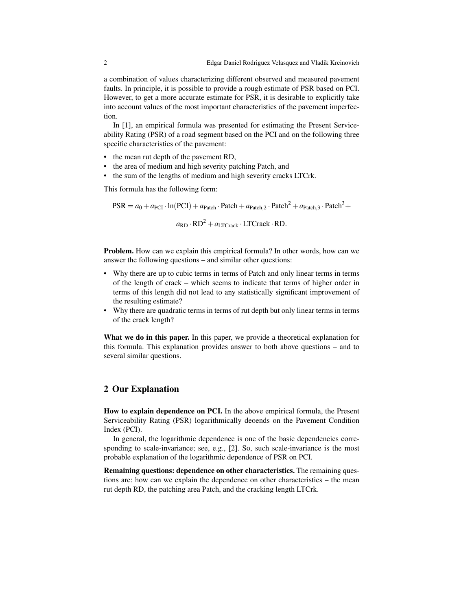a combination of values characterizing different observed and measured pavement faults. In principle, it is possible to provide a rough estimate of PSR based on PCI. However, to get a more accurate estimate for PSR, it is desirable to explicitly take into account values of the most important characteristics of the pavement imperfection.

In [1], an empirical formula was presented for estimating the Present Serviceability Rating (PSR) of a road segment based on the PCI and on the following three specific characteristics of the pavement:

- the mean rut depth of the pavement RD,
- the area of medium and high severity patching Patch, and
- the sum of the lengths of medium and high severity cracks LTCrk.

This formula has the following form:

 $PSR = a_0 + a_{\text{PCI}} \cdot \ln(\text{PCI}) + a_{\text{Patch}} \cdot \text{Patch} + a_{\text{Patch},2} \cdot \text{Patch}^2 + a_{\text{Patch},3} \cdot \text{Patch}^3 +$ 

 $a_{\rm RD} \cdot \rm RD^2 + a_{\rm LTCrack} \cdot \rm LTCrack \cdot \rm RD.$ 

Problem. How can we explain this empirical formula? In other words, how can we answer the following questions – and similar other questions:

- Why there are up to cubic terms in terms of Patch and only linear terms in terms of the length of crack – which seems to indicate that terms of higher order in terms of this length did not lead to any statistically significant improvement of the resulting estimate?
- Why there are quadratic terms in terms of rut depth but only linear terms in terms of the crack length?

What we do in this paper. In this paper, we provide a theoretical explanation for this formula. This explanation provides answer to both above questions – and to several similar questions.

#### 2 Our Explanation

How to explain dependence on PCI. In the above empirical formula, the Present Serviceability Rating (PSR) logarithmically deoends on the Pavement Condition Index (PCI).

In general, the logarithmic dependence is one of the basic dependencies corresponding to scale-invariance; see, e.g., [2]. So, such scale-invariance is the most probable explanation of the logarithmic dependence of PSR on PCI.

Remaining questions: dependence on other characteristics. The remaining questions are: how can we explain the dependence on other characteristics – the mean rut depth RD, the patching area Patch, and the cracking length LTCrk.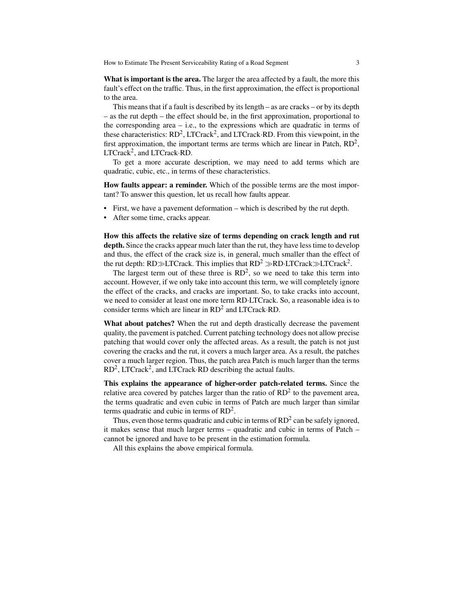How to Estimate The Present Serviceability Rating of a Road Segment 3

What is important is the area. The larger the area affected by a fault, the more this fault's effect on the traffic. Thus, in the first approximation, the effect is proportional to the area.

This means that if a fault is described by its length – as are cracks – or by its depth – as the rut depth – the effect should be, in the first approximation, proportional to the corresponding area  $-$  i.e., to the expressions which are quadratic in terms of these characteristics:  $RD^2$ , LTCrack<sup>2</sup>, and LTCrack $\cdot RD$ . From this viewpoint, in the first approximation, the important terms are terms which are linear in Patch,  $RD<sup>2</sup>$ ,  $LTCrack<sup>2</sup>$ , and  $LTCrack$ ·RD.

To get a more accurate description, we may need to add terms which are quadratic, cubic, etc., in terms of these characteristics.

How faults appear: a reminder. Which of the possible terms are the most important? To answer this question, let us recall how faults appear.

- First, we have a pavement deformation which is described by the rut depth.
- After some time, cracks appear.

How this affects the relative size of terms depending on crack length and rut depth. Since the cracks appear much later than the rut, they have less time to develop and thus, the effect of the crack size is, in general, much smaller than the effect of the rut depth: RD≫LTCrack. This implies that RD<sup>2</sup> ≫RD·LTCrack≫LTCrack<sup>2</sup>.

The largest term out of these three is  $RD<sup>2</sup>$ , so we need to take this term into account. However, if we only take into account this term, we will completely ignore the effect of the cracks, and cracks are important. So, to take cracks into account, we need to consider at least one more term RD·LTCrack. So, a reasonable idea is to consider terms which are linear in RD<sup>2</sup> and LTCrack·RD.

What about patches? When the rut and depth drastically decrease the pavement quality, the pavement is patched. Current patching technology does not allow precise patching that would cover only the affected areas. As a result, the patch is not just covering the cracks and the rut, it covers a much larger area. As a result, the patches cover a much larger region. Thus, the patch area Patch is much larger than the terms  $RD<sup>2</sup>$ , LTCrack<sup>2</sup>, and LTCrack $\cdot RD$  describing the actual faults.

This explains the appearance of higher-order patch-related terms. Since the relative area covered by patches larger than the ratio of  $RD<sup>2</sup>$  to the pavement area, the terms quadratic and even cubic in terms of Patch are much larger than similar terms quadratic and cubic in terms of  $RD^2$ .

Thus, even those terms quadratic and cubic in terms of  $RD^2$  can be safely ignored, it makes sense that much larger terms – quadratic and cubic in terms of Patch – cannot be ignored and have to be present in the estimation formula.

All this explains the above empirical formula.